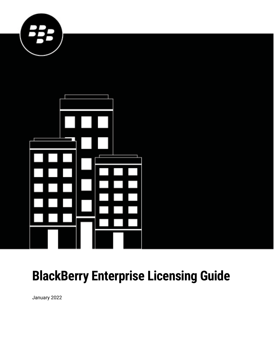



# **BlackBerry Enterprise Licensing Guide**

January 2022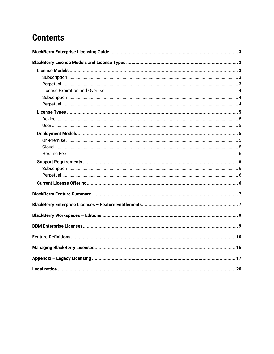### **Contents**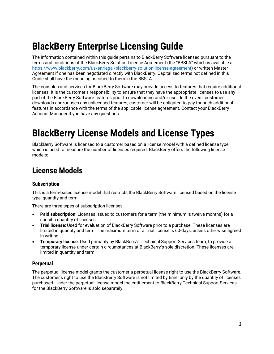# <span id="page-2-0"></span>**BlackBerry Enterprise Licensing Guide**

The information contained within this guide pertains to BlackBerry Software licensed pursuant to the terms and conditions of the BlackBerry Solution License Agreement (the "BBSLA" which is available at: [https://www.blackberry.com/us/en/legal/blackberry-solution-license-agreement\)](https://www.blackberry.com/us/en/legal/blackberry-solution-license-agreement) or written Master Agreement if one has been negotiated directly with BlackBerry. Capitalized terms not defined in this Guide shall have the meaning ascribed to them in the BBSLA.

The consoles and services for BlackBerry Software may provide access to features that require additional licenses. It is the customer's responsibility to ensure that they have the appropriate licenses to use any part of the BlackBerry Software features prior to downloading and/or use. In the event, customer downloads and/or uses any unlicensed features, customer will be obligated to pay for such additional features in accordance with the terms of the applicable license agreement. Contact your BlackBerry Account Manager if you have any questions.

## <span id="page-2-1"></span>**BlackBerry License Models and License Types**

BlackBerry Software is licensed to a customer based on a license model with a defined license type, which is used to measure the number of licenses required. BlackBerry offers the following license models:

### <span id="page-2-2"></span>**License Models**

#### <span id="page-2-3"></span>**Subscription**

This is a term-based license model that restricts the BlackBerry Software licensed based on the license type, quantity and term.

There are three types of subscription licenses:

- **Paid subscription**: Licenses issued to customers for a term (the minimum is twelve months) for a specific quantity of licenses.
- **Trial license**: Used for evaluation of BlackBerry Software prior to a purchase. These licenses are limited in quantity and term. The maximum term of a Trial license is 60-days, unless otherwise agreed in writing.
- **Temporary license**: Used primarily by BlackBerry's Technical Support Services team, to provide a temporary license under certain circumstances at BlackBerry's sole discretion. These licenses are limited in quantity and term.

#### <span id="page-2-4"></span>**Perpetual**

The perpetual license model grants the customer a perpetual license right to use the BlackBerry Software. The customer's right to use the BlackBerry Software is not limited by time, only by the quantity of licenses purchased. Under the perpetual license model the entitlement to BlackBerry Technical Support Services for the BlackBerry Software is sold separately.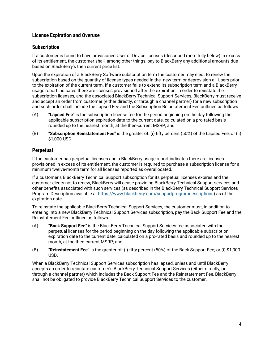#### <span id="page-3-0"></span>**License Expiration and Overuse**

#### <span id="page-3-1"></span>**Subscription**

If a customer is found to have provisioned User or Device licenses (described more fully below) in excess of its entitlement, the customer shall, among other things, pay to BlackBerry any additional amounts due based on BlackBerry's then current price list.

Upon the expiration of a BlackBerry Software subscription term the customer may elect to renew the subscription based on the quantity of license types needed in the new term or deprovision all Users prior to the expiration of the current term. If a customer fails to extend its subscription term and a BlackBerry usage report indicates there are licenses provisioned after the expiration, in order to reinstate the subscription licenses, and the associated BlackBerry Technical Support Services, BlackBerry must receive and accept an order from customer (either directly, or through a channel partner) for a new subscription and such order shall include the Lapsed Fee and the Subscription Reinstatement Fee outlined as follows:

- (A) "**Lapsed Fee**" is the subscription license fee for the period beginning on the day following the applicable subscription expiration date to the current date, calculated on a pro-rated basis rounded up to the nearest month, at the then-current MSRP; and
- (B) "**Subscription Reinstatement Fee**" is the greater of: (i) fifty percent (50%) of the Lapsed Fee; or (ii) \$1,000 USD.

#### <span id="page-3-2"></span>**Perpetual**

If the customer has perpetual licenses and a BlackBerry usage report indicates there are licenses provisioned in excess of its entitlement, the customer is required to purchase a subscription license for a minimum twelve-month term for all licenses reported as overallocated.

If a customer's BlackBerry Technical Support subscription for its perpetual licenses expires and the customer elects not to renew, BlackBerry will cease providing BlackBerry Technical Support services and other benefits associated with such services (as described in the BlackBerry Technical Support Services Program Description available at [https://www.blackberry.com/supportprogramdescriptions\)](https://www.blackberry.com/supportprogramdescriptions) as of the expiration date.

To reinstate the applicable BlackBerry Technical Support Services, the customer must, in addition to entering into a new BlackBerry Technical Support Services subscription, pay the Back Support Fee and the Reinstatement Fee outlined as follows:

- (A) "**Back Support Fee**" is the BlackBerry Technical Support Services fee associated with the perpetual licenses for the period beginning on the day following the applicable subscription expiration date to the current date, calculated on a pro-rated basis and rounded up to the nearest month, at the then-current MSRP; and
- (B) "**Reinstatement Fee**" is the greater of: (i) fifty percent (50%) of the Back Support Fee; or (i) \$1,000 USD.

When a BlackBerry Technical Support Services subscription has lapsed, unless and until BlackBerry accepts an order to reinstate customer's BlackBerry Technical Support Services (either directly, or through a channel partner) which includes the Back Support Fee and the Reinstatement Fee, BlackBerry shall not be obligated to provide BlackBerry Technical Support Services to the customer.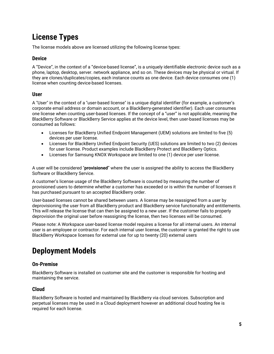### <span id="page-4-0"></span>**License Types**

The license models above are licensed utilizing the following license types:

#### <span id="page-4-1"></span>**Device**

A "Device", in the context of a "device-based license", is a uniquely identifiable electronic device such as a phone, laptop, desktop, server. network appliance, and so on. These devices may be physical or virtual. If they are clones/duplicates/copies, each instance counts as one device. Each device consumes one (1) license when counting device-based licenses.

#### <span id="page-4-2"></span>**User**

A "User" in the context of a "user-based license" is a unique digital identifier (for example, a customer's corporate email address or domain account, or a BlackBerry-generated identifier). Each user consumes one license when counting user-based licenses. If the concept of a "user" is not applicable, meaning the BlackBerry Software or BlackBerry Service applies at the device level, then user-based licenses may be consumed as follows:

- Licenses for BlackBerry Unified Endpoint Management (UEM) solutions are limited to five (5) devices per user license.
- Licenses for BlackBerry Unified Endpoint Security (UES) solutions are limited to two (2) devices for user license. Product examples include BlackBerry Protect and BlackBerry Optics.
- Licenses for Samsung KNOX Workspace are limited to one (1) device per user license.

A user will be considered "**provisioned**" where the user is assigned the ability to access the BlackBerry Software or BlackBerry Service.

A customer's license usage of the BlackBerry Software is counted by measuring the number of provisioned users to determine whether a customer has exceeded or is within the number of licenses it has purchased pursuant to an accepted BlackBerry order.

User-based licenses cannot be shared between users. A license may be reassigned from a user by deprovisioning the user from all BlackBerry product and BlackBerry service functionality and entitlements. This will release the license that can then be assigned to a new user. If the customer fails to properly deprovision the original user before reassigning the license, then two licenses will be consumed.

Please note: A Workspace user-based license model requires a license for all internal users. An internal user is an employee or contractor. For each internal user license, the customer is granted the right to use BlackBerry Workspace licenses for external use for up to twenty (20) external users

### <span id="page-4-3"></span>**Deployment Models**

#### <span id="page-4-4"></span>**On-Premise**

BlackBerry Software is installed on customer site and the customer is responsible for hosting and maintaining the service.

#### <span id="page-4-5"></span>**Cloud**

BlackBerry Software is hosted and maintained by BlackBerry via cloud services. Subscription and perpetual licenses may be used in a Cloud deployment however an additional cloud hosting fee is required for each license.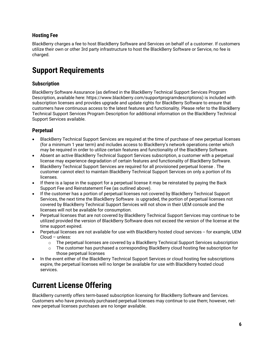#### <span id="page-5-0"></span>**Hosting Fee**

BlackBerry charges a fee to host BlackBerry Software and Services on behalf of a customer. If customers utilize their own or other 3rd party infrastructure to host the BlackBerry Software or Service, no fee is charged.

### <span id="page-5-1"></span>**Support Requirements**

#### <span id="page-5-2"></span>**Subscription**

BlackBerry Software Assurance (as defined in the BlackBerry Technical Support Services Program Description, available here: https://www.blackberry.com/supportprogramdescriptions) is included with subscription licenses and provides upgrade and update rights for BlackBerry Software to ensure that customers have continuous access to the latest features and functionality. Please refer to the BlackBerry Technical Support Services Program Description for additional information on the BlackBerry Technical Support Services available.

#### <span id="page-5-3"></span>**Perpetual**

- BlackBerry Technical Support Services are required at the time of purchase of new perpetual licenses (for a minimum 1 year term) and includes access to BlackBerry's network operations center which may be required in order to utilize certain features and functionality of the BlackBerry Software.
- Absent an active BlackBerry Technical Support Services subscription, a customer with a perpetual license may experience degradation of certain features and functionality of BlackBerry Software.
- BlackBerry Technical Support Services are required for all provisioned perpetual license . The customer cannot elect to maintain BlackBerry Technical Support Services on only a portion of its licenses.
- If there is a lapse in the support for a perpetual license it may be reinstated by paying the Back Support Fee and Reinstatement Fee (as outlined above).
- If the customer has a portion of perpetual licenses not covered by BlackBerry Technical Support Services, the next time the BlackBerry Software is upgraded, the portion of perpetual licenses not covered by BlackBerry Technical Support Services will not show in their UEM console and the licenses will not be available for consumption.
- Perpetual licenses that are not covered by BlackBerry Technical Support Services may continue to be utilized provided the version of BlackBerry Software does not exceed the version of the license at the time support expired.
- Perpetual licenses are not available for use with BlackBerry hosted cloud services -- for example, UEM Cloud – unless:
	- $\circ$  The perpetual licenses are covered by a BlackBerry Technical Support Services subscription<br> $\circ$  The customer has purchased a corresponding BlackBerry cloud hosting fee subscription for
	- The customer has purchased a corresponding BlackBerry cloud hosting fee subscription for those perpetual licenses
- In the event either of the BlackBerry Technical Support Services or cloud hosting fee subscriptions expire, the perpetual licenses will no longer be available for use with BlackBerry hosted cloud services.

### <span id="page-5-4"></span>**Current License Offering**

BlackBerry currently offers term-based subscription licensing for BlackBerry Software and Services. Customers who have previously purchased perpetual licenses may continue to use them; however, netnew perpetual licenses purchases are no longer available.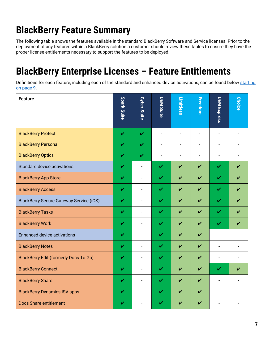# <span id="page-6-0"></span>**BlackBerry Feature Summary**

The following table shows the features available in the standard BlackBerry Software and Service licenses. Prior to the deployment of any features within a BlackBerry solution a customer should review these tables to ensure they have the proper license entitlements necessary to support the features to be deployed.

### <span id="page-6-1"></span>**BlackBerry Enterprise Licenses – Feature Entitlements**

Definitions for each feature, including each of the standard and enhanced device activations, can be found below starting [on page 9.](#page-9-0)

| <b>Feature</b>                                 | <b>Spark Suite</b> | <b>Cyber Suite</b>       | <b>UEM Suite</b> | Limitless                | Freedom                    | UEM Express              | <b>Choice</b>            |
|------------------------------------------------|--------------------|--------------------------|------------------|--------------------------|----------------------------|--------------------------|--------------------------|
| <b>BlackBerry Protect</b>                      | $\mathbf v$        | V                        | ÷,               | $\overline{\phantom{a}}$ | ÷,                         | $\sim$                   |                          |
| <b>BlackBerry Persona</b>                      | V                  | V                        | ÷,               | ä,                       | L.                         | L.                       |                          |
| <b>BlackBerry Optics</b>                       | V                  | $\mathbf v$              | L.               |                          | L.                         | L.                       |                          |
| Standard device activations                    | V                  | $\overline{a}$           | V                | ✓                        | ✓                          | V                        | V                        |
| <b>BlackBerry App Store</b>                    | V                  | $\overline{\phantom{a}}$ | V                | ✓                        | $\boldsymbol{\nu}$         | V                        | $\overline{\mathbf{v}}$  |
| <b>BlackBerry Access</b>                       | V                  | $\overline{a}$           | V                | ✓                        | ✓                          | $\checkmark$             | V                        |
| <b>BlackBerry Secure Gateway Service (iOS)</b> | V                  | $\sim$                   | V                | ✓                        | ✓                          | $\checkmark$             | ✔                        |
| <b>BlackBerry Tasks</b>                        | V                  | $\overline{\phantom{a}}$ | V                | ✓                        | ✓                          | $\checkmark$             | ✔                        |
| <b>BlackBerry Work</b>                         | V                  | $\overline{\phantom{a}}$ | V                | ✔                        | V                          | $\checkmark$             | V                        |
| <b>Enhanced device activations</b>             | V                  | $\overline{\phantom{a}}$ | V                | ✓                        | $\boldsymbol{\nu}$         | $\blacksquare$           | $\sim$                   |
| <b>BlackBerry Notes</b>                        | V                  | $\overline{a}$           | V                | $\checkmark$             | $\overline{\mathbf{v}}$    | $\overline{\phantom{a}}$ | $\overline{\phantom{a}}$ |
| <b>BlackBerry Edit (formerly Docs To Go)</b>   | $\mathbf v$        | $\overline{a}$           | V                | ✓                        | $\boldsymbol{\mathcal{U}}$ | $\blacksquare$           |                          |
| <b>BlackBerry Connect</b>                      | V                  | L.                       | V                | ✓                        | V                          | $\checkmark$             | V                        |
| <b>BlackBerry Share</b>                        | V                  | ÷,                       | V                | V                        | V                          | $\overline{\phantom{a}}$ |                          |
| <b>BlackBerry Dynamics ISV apps</b>            | V                  | $\overline{a}$           | V                | ✓                        | $\boldsymbol{\nu}$         | $\overline{a}$           |                          |
| <b>Docs Share entitlement</b>                  | V                  | ÷                        | ✓                | V                        | $\boldsymbol{\nu}$         | $\overline{a}$           |                          |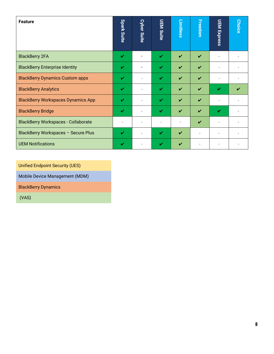| <b>Feature</b>                             | <b>Spark Suite</b> | <b>Cyber Suite</b> | <b>UEM Suite</b> | <b>Limitless</b>   | <b>Freedom</b>     | <u>UEM Express</u> | <b>Choice</b> |
|--------------------------------------------|--------------------|--------------------|------------------|--------------------|--------------------|--------------------|---------------|
| <b>BlackBerry 2FA</b>                      | V                  |                    | V                | $\boldsymbol{\nu}$ | $\boldsymbol{\nu}$ |                    |               |
| <b>BlackBerry Enterprise Identity</b>      | ✓                  |                    | V                | $\boldsymbol{\nu}$ | $\boldsymbol{\nu}$ |                    |               |
| <b>BlackBerry Dynamics Custom apps</b>     | ✓                  |                    | V                | $\boldsymbol{\nu}$ | $\boldsymbol{\nu}$ |                    |               |
| <b>BlackBerry Analytics</b>                | V                  |                    | V                | $\boldsymbol{\nu}$ | $\boldsymbol{\nu}$ | V                  |               |
| <b>BlackBerry Workspaces Dynamics App</b>  | V                  |                    | ✓                | $\boldsymbol{\nu}$ | $\boldsymbol{\nu}$ | $\overline{a}$     |               |
| <b>BlackBerry Bridge</b>                   | V                  |                    | ✓                | $\boldsymbol{\nu}$ | $\boldsymbol{\nu}$ | V                  |               |
| <b>BlackBerry Workspaces - Collaborate</b> |                    | ۰                  |                  |                    | $\boldsymbol{\nu}$ |                    |               |
| BlackBerry Workspaces - Secure Plus        | V                  | ٠                  | V                | ✓                  |                    |                    |               |
| <b>UEM Notifications</b>                   | V                  |                    | ✓                | ✔                  |                    |                    |               |

Unified Endpoint Security (UES)

Mobile Device Management (MDM)

BlackBerry Dynamics

(VAS)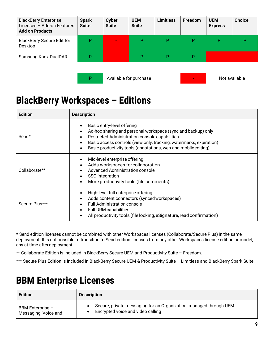| <b>BlackBerry Enterprise</b><br>Licenses - Add-on Features<br><b>Add on Products</b> | <b>Spark</b><br><b>Suite</b> | <b>Cyber</b><br><b>Suite</b> | <b>UEM</b><br><b>Suite</b> | <b>Limitless</b> | Freedom | <b>UEM</b><br><b>Express</b> | <b>Choice</b> |
|--------------------------------------------------------------------------------------|------------------------------|------------------------------|----------------------------|------------------|---------|------------------------------|---------------|
| <b>BlackBerry Secure Edit for</b><br>Desktop                                         | P                            |                              | P                          | P                | P       | P                            | P             |
| Samsung Knox DualDAR                                                                 | P                            | $\blacksquare$               | P                          | P                | P       |                              |               |
|                                                                                      | P                            |                              | Available for purchase     |                  |         |                              | Not available |

### <span id="page-8-0"></span>**BlackBerry Workspaces – Editions**

| <b>Edition</b> | <b>Description</b>                                                                                                                                                                                                                                                                                     |
|----------------|--------------------------------------------------------------------------------------------------------------------------------------------------------------------------------------------------------------------------------------------------------------------------------------------------------|
| Send*          | Basic entry-level offering<br>Ad-hoc sharing and personal workspace (sync and backup) only<br>٠<br>Restricted Administration console capabilities<br>Basic access controls (view only, tracking, watermarks, expiration)<br>Basic productivity tools (annotations, web and mobileediting)<br>$\bullet$ |
| Collaborate**  | Mid-level enterprise offering<br>Adds workspaces for collaboration<br>Advanced Administration console<br>SSO integration<br>More productivity tools (file comments)                                                                                                                                    |
| Secure Plus*** | High-level full enterprise offering<br>Adds content connectors (synced workspaces)<br><b>Full Administration console</b><br><b>Full DRM capabilities</b><br>All productivity tools (file locking, eSignature, read confirmation)                                                                       |

**\*** Send edition licenses cannot be combined with other Workspaces licenses (Collaborate/Secure Plus) in the same deployment. It is not possible to transition to Send edition licenses from any other Workspaces license edition or model, any at time afterdeployment.

\*\* Collaborate Edition is included in BlackBerry Secure UEM and Productivity Suite – Freedom.

<span id="page-8-1"></span>\*\*\* Secure Plus Edition is included in BlackBerry Secure UEM & Productivity Suite - Limitless and BlackBerry Spark Suite.

### **BBM Enterprise Licenses**

| <b>Edition</b>       | <b>Description</b>                                                 |
|----------------------|--------------------------------------------------------------------|
| BBM Enterprise -     | Secure, private messaging for an Organization, managed through UEM |
| Messaging, Voice and | Encrypted voice and video calling                                  |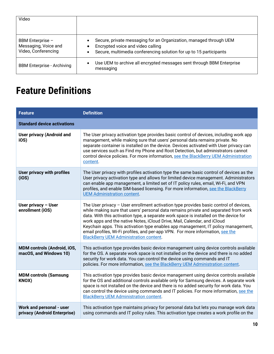<span id="page-9-1"></span>

| Video                                                           |                                                                                                                                                                                         |
|-----------------------------------------------------------------|-----------------------------------------------------------------------------------------------------------------------------------------------------------------------------------------|
| BBM Enterprise -<br>Messaging, Voice and<br>Video, Conferencing | Secure, private messaging for an Organization, managed through UEM<br>٠<br>Encrypted voice and video calling<br>Secure, multimedia conferencing solution for up to 15 participants<br>٠ |
| <b>BBM Enterprise - Archiving</b>                               | Use UEM to archive all encrypted messages sent through BBM Enterprise<br>$\bullet$<br>messaging                                                                                         |

### <span id="page-9-0"></span>**Feature Definitions**

| <b>Feature</b>                                               | <b>Definition</b>                                                                                                                                                                                                                                                                                                                                                                                                                                                                                                                                                         |
|--------------------------------------------------------------|---------------------------------------------------------------------------------------------------------------------------------------------------------------------------------------------------------------------------------------------------------------------------------------------------------------------------------------------------------------------------------------------------------------------------------------------------------------------------------------------------------------------------------------------------------------------------|
| <b>Standard device activations</b>                           |                                                                                                                                                                                                                                                                                                                                                                                                                                                                                                                                                                           |
| <b>User privacy (Android and</b><br>iOS)                     | The User privacy activation type provides basic control of devices, including work app<br>management, while making sure that users' personal data remains private. No<br>separate container is installed on the device. Devices activated with User privacy can<br>use services such as Find my Phone and Root Detection, but administrators cannot<br>control device policies. For more information, see the BlackBerry UEM Administration<br>content.                                                                                                                   |
| User privacy with profiles<br>(iOS)                          | The User privacy with profiles activation type the same basic control of devices as the<br>User privacy activation type and allows for limited device management. Administrators<br>can enable app management, a limited set of IT policy rules, email, Wi-Fi, and VPN<br>profiles, and enable SIM-based licensing. For more information, see the BlackBerry<br><b>UEM Administration content.</b>                                                                                                                                                                        |
| User privacy - User<br>enrollment (iOS)                      | The User privacy - User enrollment activation type provides basic control of devices,<br>while making sure that users' personal data remains private and separated from work<br>data. With this activation type, a separate work space is installed on the device for<br>work apps and the native Notes, iCloud Drive, Mail, Calendar, and iCloud<br>Keychain apps. This activation type enables app management, IT policy management,<br>email profiles, Wi-Fi profiles, and per-app VPN. For more information, see the<br><b>BlackBerry UEM Administration content.</b> |
| <b>MDM controls (Android, iOS,</b><br>macOS, and Windows 10) | This activation type provides basic device management using device controls available<br>for the OS. A separate work space is not installed on the device and there is no added<br>security for work data. You can control the device using commands and IT<br>policies. For more information, see the BlackBerry UEM Administration content.                                                                                                                                                                                                                             |
| <b>MDM controls (Samsung</b><br>KNOX)                        | This activation type provides basic device management using device controls available<br>for the OS and additional controls available only for Samsung devices. A separate work<br>space is not installed on the device and there is no added security for work data. You<br>can control the device using commands and IT policies. For more information, see the<br><b>BlackBerry UEM Administration content.</b>                                                                                                                                                        |
| Work and personal - user<br>privacy (Android Enterprise)     | This activation type maintains privacy for personal data but lets you manage work data<br>using commands and IT policy rules. This activation type creates a work profile on the                                                                                                                                                                                                                                                                                                                                                                                          |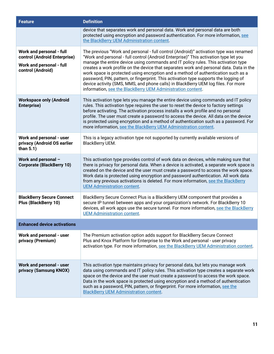| <b>Feature</b>                                                          | <b>Definition</b>                                                                                                                                                                                                                                                                                                                                                                                                                                                                                                      |
|-------------------------------------------------------------------------|------------------------------------------------------------------------------------------------------------------------------------------------------------------------------------------------------------------------------------------------------------------------------------------------------------------------------------------------------------------------------------------------------------------------------------------------------------------------------------------------------------------------|
|                                                                         | device that separates work and personal data. Work and personal data are both<br>protected using encryption and password authentication. For more information, see<br>the BlackBerry UEM Administration content.                                                                                                                                                                                                                                                                                                       |
| <b>Work and personal - full</b><br>control (Android Enterprise)         | The previous "Work and personal - full control (Android)" activation type was renamed<br>"Work and personal - full control (Android Enterprise)" This activation type let you                                                                                                                                                                                                                                                                                                                                          |
| <b>Work and personal - full</b><br>control (Android)                    | manage the entire device using commands and IT policy rules. This activation type<br>creates a work profile on the device that separates work and personal data. Data in the<br>work space is protected using encryption and a method of authentication such as a<br>password, PIN, pattern, or fingerprint. This activation type supports the logging of<br>device activity (SMS, MMS, and phone calls) in BlackBerry UEM log files. For more<br>information, see the BlackBerry UEM Administration content.          |
| <b>Workspace only (Android</b><br>Enterprise)                           | This activation type lets you manage the entire device using commands and IT policy<br>rules. This activation type requires the user to reset the device to factory settings<br>before activating. The activation process installs a work profile and no personal<br>profile. The user must create a password to access the device. All data on the device<br>is protected using encryption and a method of authentication such as a password. For<br>more information, see the BlackBerry UEM Administration content. |
| Work and personal - user<br>privacy (Android OS earlier<br>than $5.1$ ) | This is a legacy activation type not supported by currently available versions of<br>BlackBerry UEM.                                                                                                                                                                                                                                                                                                                                                                                                                   |
| Work and personal -<br><b>Corporate (BlackBerry 10)</b>                 | This activation type provides control of work data on devices, while making sure that<br>there is privacy for personal data. When a device is activated, a separate work space is<br>created on the device and the user must create a password to access the work space.<br>Work data is protected using encryption and password authentication. All work data<br>from any previous activations is deleted. For more information, see the BlackBerry<br><b>UEM Administration content.</b>                             |
| <b>BlackBerry Secure Connect</b><br><b>Plus (BlackBerry 10)</b>         | BlackBerry Secure Connect Plus is a BlackBerry UEM component that provides a<br>secure IP tunnel between apps and your organization's network. For BlackBerry 10<br>devices, all work apps use the secure tunnel. For more information, see the BlackBerry<br><b>UEM Administration content.</b>                                                                                                                                                                                                                       |
| <b>Enhanced device activations</b>                                      |                                                                                                                                                                                                                                                                                                                                                                                                                                                                                                                        |
| Work and personal - user<br>privacy (Premium)                           | The Premium activation option adds support for BlackBerry Secure Connect<br>Plus and Knox Platform for Enterprise to the Work and personal - user privacy<br>activation type. For more information, see the BlackBerry UEM Administration content.                                                                                                                                                                                                                                                                     |
| Work and personal - user<br>privacy (Samsung KNOX)                      | This activation type maintains privacy for personal data, but lets you manage work<br>data using commands and IT policy rules. This activation type creates a separate work<br>space on the device and the user must create a password to access the work space.<br>Data in the work space is protected using encryption and a method of authentication<br>such as a password, PIN, pattern, or fingerprint. For more information, see the<br><b>BlackBerry UEM Administration content.</b>                            |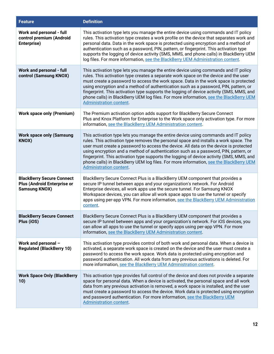| <b>Feature</b>                                                                                 | <b>Definition</b>                                                                                                                                                                                                                                                                                                                                                                                                                                                                                                                                                                     |
|------------------------------------------------------------------------------------------------|---------------------------------------------------------------------------------------------------------------------------------------------------------------------------------------------------------------------------------------------------------------------------------------------------------------------------------------------------------------------------------------------------------------------------------------------------------------------------------------------------------------------------------------------------------------------------------------|
| Work and personal - full<br>control premium (Android<br>Enterprise)                            | This activation type lets you manage the entire device using commands and IT policy<br>rules. This activation type creates a work profile on the device that separates work and<br>personal data. Data in the work space is protected using encryption and a method of<br>authentication such as a password, PIN, pattern, or fingerprint. This activation type<br>supports the logging of device activity (SMS, MMS, and phone calls) in BlackBerry UEM<br>log files. For more information, see the BlackBerry UEM Administration content.                                           |
| <b>Work and personal - full</b><br>control (Samsung KNOX)                                      | This activation type lets you manage the entire device using commands and IT policy<br>rules. This activation type creates a separate work space on the device and the user<br>must create a password to access the work space. Data in the work space is protected<br>using encryption and a method of authentication such as a password, PIN, pattern, or<br>fingerprint. This activation type supports the logging of device activity (SMS, MMS, and<br>phone calls) in BlackBerry UEM log files. For more information, see the BlackBerry UEM<br><b>Administration content.</b>   |
| <b>Work space only (Premium)</b>                                                               | The Premium activation option adds support for BlackBerry Secure Connect<br>Plus and Knox Platform for Enterprise to the Work space only activation type. For more<br>information, see the BlackBerry UEM Administration content.                                                                                                                                                                                                                                                                                                                                                     |
| <b>Work space only (Samsung</b><br>KNOX)                                                       | This activation type lets you manage the entire device using commands and IT policy<br>rules. This activation type removes the personal space and installs a work space. The<br>user must create a password to access the device. All data on the device is protected<br>using encryption and a method of authentication such as a password, PIN, pattern, or<br>fingerprint. This activation type supports the logging of device activity (SMS, MMS, and<br>phone calls) in BlackBerry UEM log files. For more information, see the BlackBerry UEM<br><b>Administration content.</b> |
| <b>BlackBerry Secure Connect</b><br><b>Plus (Android Enterprise or</b><br><b>Samsung KNOX)</b> | BlackBerry Secure Connect Plus is a BlackBerry UEM component that provides a<br>secure IP tunnel between apps and your organization's network. For Android<br>Enterprise devices, all work apps use the secure tunnel. For Samsung KNOX<br>Workspace devices, you can allow all work space apps to use the tunnel or specify<br>apps using per-app VPN. For more information, see the BlackBerry UEM Administration<br>content.                                                                                                                                                       |
| <b>BlackBerry Secure Connect</b><br>Plus (iOS)                                                 | BlackBerry Secure Connect Plus is a BlackBerry UEM component that provides a<br>secure IP tunnel between apps and your organization's network. For iOS devices, you<br>can allow all apps to use the tunnel or specify apps using per-app VPN. For more<br>information, see the BlackBerry UEM Administration content.                                                                                                                                                                                                                                                                |
| Work and personal -<br><b>Regulated (BlackBerry 10)</b>                                        | This activation type provides control of both work and personal data. When a device is<br>activated, a separate work space is created on the device and the user must create a<br>password to access the work space. Work data is protected using encryption and<br>password authentication. All work data from any previous activations is deleted. For<br>more information, see the BlackBerry UEM Administration content.                                                                                                                                                          |
| <b>Work Space Only (BlackBerry</b><br>10)                                                      | This activation type provides full control of the device and does not provide a separate<br>space for personal data. When a device is activated, the personal space and all work<br>data from any previous activation is removed, a work space is installed, and the user<br>must create a password to access the device. Work data is protected using encryption<br>and password authentication. For more information, see the BlackBerry UEM<br><b>Administration content.</b>                                                                                                      |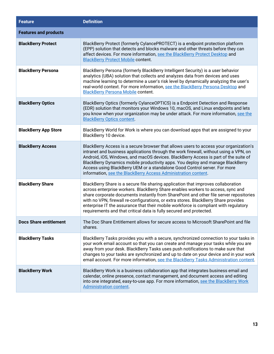| <b>Feature</b>                | <b>Definition</b>                                                                                                                                                                                                                                                                                                                                                                                                                                                                                                    |
|-------------------------------|----------------------------------------------------------------------------------------------------------------------------------------------------------------------------------------------------------------------------------------------------------------------------------------------------------------------------------------------------------------------------------------------------------------------------------------------------------------------------------------------------------------------|
| <b>Features and products</b>  |                                                                                                                                                                                                                                                                                                                                                                                                                                                                                                                      |
| <b>BlackBerry Protect</b>     | BlackBerry Protect (formerly CylancePROTECT) is a endpoint protection platform<br>(EPP) solution that detects and blocks malware and other threats before they can<br>affect devices. For more information, see the BlackBerry Protect Desktop and<br><b>BlackBerry Protect Mobile content.</b>                                                                                                                                                                                                                      |
| <b>BlackBerry Persona</b>     | BlackBerry Persona (formerly BlackBerry Intelligent Security) is a user behavior<br>analytics (UBA) solution that collects and analyzes data from devices and uses<br>machine learning to determine a user's risk level by dynamically analyzing the user's<br>real-world context. For more information, see the BlackBerry Persona Desktop and<br><b>BlackBerry Persona Mobile content.</b>                                                                                                                         |
| <b>BlackBerry Optics</b>      | BlackBerry Optics (formerly CylanceOPTICS) is a Endpoint Detection and Response<br>(EDR) solution that monitors your Windows 10, macOS, and Linux endpoints and lets<br>you know when your organization may be under attack. For more information, see the<br><b>BlackBerry Optics content.</b>                                                                                                                                                                                                                      |
| <b>BlackBerry App Store</b>   | BlackBerry World for Work is where you can download apps that are assigned to your<br>BlackBerry 10 device.                                                                                                                                                                                                                                                                                                                                                                                                          |
| <b>BlackBerry Access</b>      | BlackBerry Access is a secure browser that allows users to access your organization's<br>intranet and business applications through the work firewall, without using a VPN, on<br>Android, iOS, Windows, and macOS devices. BlackBerry Access is part of the suite of<br>BlackBerry Dynamics mobile productivity apps. You deploy and manage BlackBerry<br>Access using BlackBerry UEM or a standalone Good Control server. For more<br>information, see the BlackBerry Access Administration content.               |
| <b>BlackBerry Share</b>       | BlackBerry Share is a secure file sharing application that improves collaboration<br>across enterprise workers. BlackBerry Share enables workers to access, sync and<br>share corporate documents instantly from SharePoint and other file server repositories<br>with no VPN, firewall re-configurations, or extra stores. BlackBerry Share provides<br>enterprise IT the assurance that their mobile workforce is compliant with regulatory<br>requirements and that critical data is fully secured and protected. |
| <b>Docs Share entitlement</b> | The Doc Share Entitlement allows for secure access to Microsoft SharePoint and file<br>shares.                                                                                                                                                                                                                                                                                                                                                                                                                       |
| <b>BlackBerry Tasks</b>       | BlackBerry Tasks provides you with a secure, synchronized connection to your tasks in<br>your work email account so that you can create and manage your tasks while you are<br>away from your desk. BlackBerry Tasks uses push notifications to make sure that<br>changes to your tasks are synchronized and up to date on your device and in your work<br>email account. For more information, see the BlackBerry Tasks Administration content.                                                                     |
| <b>BlackBerry Work</b>        | BlackBerry Work is a business collaboration app that integrates business email and<br>calendar, online presence, contact management, and document access and editing<br>into one integrated, easy-to-use app. For more information, see the BlackBerry Work<br><b>Administration content.</b>                                                                                                                                                                                                                        |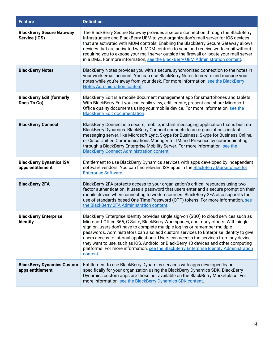| <b>Feature</b>                                        | <b>Definition</b>                                                                                                                                                                                                                                                                                                                                                                                                                                                                                                                                                                                                                          |
|-------------------------------------------------------|--------------------------------------------------------------------------------------------------------------------------------------------------------------------------------------------------------------------------------------------------------------------------------------------------------------------------------------------------------------------------------------------------------------------------------------------------------------------------------------------------------------------------------------------------------------------------------------------------------------------------------------------|
| <b>BlackBerry Secure Gateway</b><br>Service (iOS)     | The BlackBerry Secure Gateway provides a secure connection through the BlackBerry<br>Infrastructure and BlackBerry UEM to your organization's mail server for iOS devices<br>that are activated with MDM controls. Enabling the BlackBerry Secure Gateway allows<br>devices that are activated with MDM controls to send and receive work email without<br>requiring you to expose your mail server outside the firewall or locate your mail server<br>in a DMZ. For more information, see the BlackBerry UEM Administration content.                                                                                                      |
| <b>BlackBerry Notes</b>                               | BlackBerry Notes provides you with a secure, synchronized connection to the notes in<br>your work email account. You can use BlackBerry Notes to create and manage your<br>notes while you're away from your desk. For more information, see the BlackBerry<br><b>Notes Administration content.</b>                                                                                                                                                                                                                                                                                                                                        |
| <b>BlackBerry Edit (formerly</b><br>Docs To Go)       | BlackBerry Edit is a mobile document management app for smartphones and tablets.<br>With BlackBerry Edit you can easily view, edit, create, present and share Microsoft<br>Office quality documents using your mobile device. For more information, see the<br><b>BlackBerry Edit documentation.</b>                                                                                                                                                                                                                                                                                                                                       |
| <b>BlackBerry Connect</b>                             | BlackBerry Connect is a secure, mobile, instant messaging application that is built on<br>BlackBerry Dynamics. BlackBerry Connect connects to an organization's instant<br>messaging server, like Microsoft Lync, Skype for Business, Skype for Business Online,<br>or Cisco Unified Communications Manager for IM and Presence by communicating<br>through a BlackBerry Enterprise Mobility Server. For more information, see the<br><b>BlackBerry Connect Administration content.</b>                                                                                                                                                    |
| <b>BlackBerry Dynamics ISV</b><br>apps entitlement    | Entitlement to use BlackBerry Dynamics services with apps developed by independent<br>software vendors. You can find relevant ISV apps in the <b>BlackBerry Marketplace</b> for<br><b>Enterprise Software.</b>                                                                                                                                                                                                                                                                                                                                                                                                                             |
| <b>BlackBerry 2FA</b>                                 | BlackBerry 2FA protects access to your organization's critical resources using two-<br>factor authentication. It uses a password that users enter and a secure prompt on their<br>mobile device when connecting to work resources. BlackBerry 2FA also supports the<br>use of standards-based One-Time Password (OTP) tokens. For more information, see<br>the BlackBerry 2FA Administration content.                                                                                                                                                                                                                                      |
| <b>BlackBerry Enterprise</b><br><b>Identity</b>       | BlackBerry Enterprise Identity provides single sign-on (SSO) to cloud services such as<br>Microsoft Office 365, G Suite, BlackBerry Workspaces, and many others. With single<br>sign-on, users don't have to complete multiple log ins or remember multiple<br>passwords. Administrators can also add custom services to Enterprise Identity to give<br>users access to internal applications. Users can access the services from any device<br>they want to use, such as iOS, Android, or BlackBerry 10 devices and other computing<br>platforms. For more information, see the BlackBerry Enterprise Identity Administration<br>content. |
| <b>BlackBerry Dynamics Custom</b><br>apps entitlement | Entitlement to use BlackBerry Dynamics services with apps developed by or<br>specifically for your organization using the BlackBerry Dynamics SDK. BlackBerry<br>Dynamics custom apps are those not available on the BlackBerry Marketplace. For<br>more information, see the BlackBerry Dynamics SDK content.                                                                                                                                                                                                                                                                                                                             |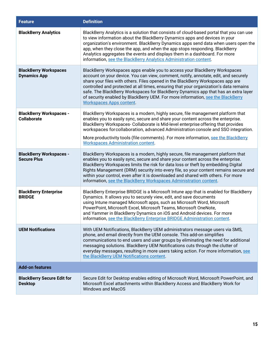| <b>Feature</b>                                       | <b>Definition</b>                                                                                                                                                                                                                                                                                                                                                                                                                                                                                                                                          |
|------------------------------------------------------|------------------------------------------------------------------------------------------------------------------------------------------------------------------------------------------------------------------------------------------------------------------------------------------------------------------------------------------------------------------------------------------------------------------------------------------------------------------------------------------------------------------------------------------------------------|
| <b>BlackBerry Analytics</b>                          | BlackBerry Analytics is a solution that consists of cloud-based portal that you can use<br>to view information about the BlackBerry Dynamics apps and devices in your<br>organization's environment. BlackBerry Dynamics apps send data when users open the<br>app, when they close the app, and when the app stops responding. BlackBerry<br>Analytics aggregates the events and displays them in a dashboard. For more<br>information, see the BlackBerry Analytics Administration content.                                                              |
| <b>BlackBerry Workspaces</b><br><b>Dynamics App</b>  | BlackBerry Workspaces apps enable you to access your BlackBerry Workspaces<br>account on your device. You can view, comment, notify, annotate, edit, and securely<br>share your files with others. Files opened in the BlackBerry Workspaces app are<br>controlled and protected at all times, ensuring that your organization's data remains<br>safe. The BlackBerry Workspaces for BlackBerry Dynamics app that has an extra layer<br>of security enabled by BlackBerry UEM. For more information, see the BlackBerry<br><b>Workspaces Apps content.</b> |
| <b>BlackBerry Workspaces -</b><br><b>Collaborate</b> | BlackBerry Workspaces is a modern, highly secure, file management platform that<br>enables you to easily sync, secure and share your content across the enterprise.<br>BlackBerry Workspaces- Collaborate is Mid-level enterprise offering that provides<br>workspaces for collaboration, advanced Administration console and SSO integration.<br>More productivity tools (file comments). For more information, see the BlackBerry<br><b>Workspaces Administration content.</b>                                                                           |
| <b>BlackBerry Workspaces -</b><br><b>Secure Plus</b> | BlackBerry Workspaces is a modern, highly secure, file management platform that<br>enables you to easily sync, secure and share your content across the enterprise.<br>BlackBerry Workspaces limits the risk for data loss or theft by embedding Digital<br>Rights Management (DRM) security into every file, so your content remains secure and<br>within your control, even after it is downloaded and shared with others. For more<br>information, see the BlackBerry Workspaces Administration content.                                                |
| <b>BlackBerry Enterprise</b><br><b>BRIDGE</b>        | BlackBerry Enterprise BRIDGE is a Microsoft Intune app that is enabled for BlackBerry<br>Dynamics. It allows you to securely view, edit, and save documents<br>using Intune managed Microsoft apps, such as Microsoft Word, Microsoft<br>PowerPoint, Microsoft Excel, Microsoft Teams, Microsoft OneNote,<br>and Yammer in BlackBerry Dynamics on iOS and Android devices. For more<br>information, see the BlackBerry Enterprise BRIDGE Administration content.                                                                                           |
| <b>UEM Notifications</b>                             | With UEM Notifications, BlackBerry UEM administrators message users via SMS,<br>phone, and email directly from the UEM console. This add-on simplifies<br>communications to end users and user groups by eliminating the need for additional<br>messaging solutions. BlackBerry UEM Notifications cuts through the clutter of<br>everyday messages, resulting in more users taking action. For more information, see<br>the BlackBerry UEM Notifications content.                                                                                          |
| <b>Add-on features</b>                               |                                                                                                                                                                                                                                                                                                                                                                                                                                                                                                                                                            |
| <b>BlackBerry Secure Edit for</b><br><b>Desktop</b>  | Secure Edit for Desktop enables editing of Microsoft Word, Microsoft PowerPoint, and<br>Microsoft Excel attachments within BlackBerry Access and BlackBerry Work for<br><b>Windows and MacOS</b>                                                                                                                                                                                                                                                                                                                                                           |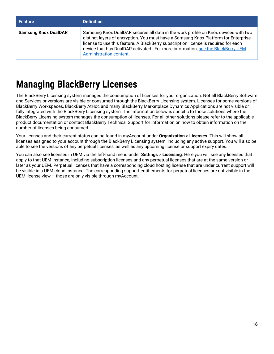| <b>Feature</b>              | <b>Definition</b>                                                                                                                                                                                                                                                                                                                                                              |
|-----------------------------|--------------------------------------------------------------------------------------------------------------------------------------------------------------------------------------------------------------------------------------------------------------------------------------------------------------------------------------------------------------------------------|
| <b>Samsung Knox DualDAR</b> | Samsung Knox DualDAR secures all data in the work profile on Knox devices with two<br>distinct layers of encryption. You must have a Samsung Knox Platform for Enterprise<br>license to use this feature. A BlackBerry subscription license is required for each<br>device that has DualDAR activated. For more information, see the BlackBerry UEM<br>Administration content. |

### <span id="page-15-0"></span>**Managing BlackBerry Licenses**

The BlackBerry Licensing system manages the consumption of licenses for your organization. Not all BlackBerry Software and Services or versions are visible or consumed through the BlackBerry Licensing system. Licenses for some versions of BlackBerry Workspaces, BlackBerry AtHoc and many BlackBerry Marketplace Dynamics Applications are not visible or fully integrated with the BlackBerry Licensing system. The information below is specific to those solutions where the BlackBerry Licensing system manages the consumption of licenses. For all other solutions please refer to the applicable product documentation or contact BlackBerry Technical Support for information on how to obtain information on the number of licenses being consumed.

Your licenses and their current status can be found in myAccount under **Organization** > **Licenses**. This will show all licenses assigned to your account through the BlackBerry Licensing system, including any active support. You will also be able to see the versions of any perpetual licenses, as well as any upcoming license or support expiry dates.

You can also see licenses in UEM via the left-hand menu under **Settings** > **Licensing**. Here you will see any licenses that apply to that UEM instance, including subscription licenses and any perpetual licenses that are at the same version or later as your UEM. Perpetual licenses that have a corresponding cloud hosting license that are under current support will be visible in a UEM cloud instance. The corresponding support entitlements for perpetual licenses are not visible in the UEM license view – those are only visible through myAccount.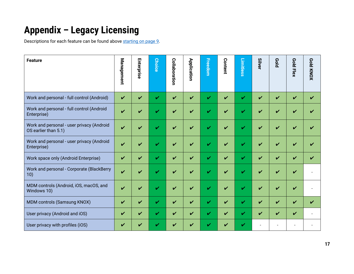# **Appendix – Legacy Licensing**

Descriptions for each feature can be found above [starting on page 9.](#page-9-1)

<span id="page-16-0"></span>

| <b>Feature</b>                                                    | Management         | Enterprise | <b>Choice</b> | <b>Collaboration</b> | Application        | Freedom      | Content | Limitless          | <b>Silver</b> | <b>Pold</b> | Gold Flex | Gold KNOX          |
|-------------------------------------------------------------------|--------------------|------------|---------------|----------------------|--------------------|--------------|---------|--------------------|---------------|-------------|-----------|--------------------|
| Work and personal - full control (Android)                        | $\boldsymbol{\nu}$ | V          | ✓             | $\boldsymbol{\nu}$   | $\boldsymbol{\nu}$ | $\mathbf{v}$ | V       | $\boldsymbol{\nu}$ | V             | ✔           | V         | V                  |
| Work and personal - full control (Android<br>Enterprise)          | ✓                  |            | J             | ✓                    | ✓                  | ✓            |         | v                  | ✓             | ✓           | ✓         |                    |
| Work and personal - user privacy (Android<br>OS earlier than 5.1) | ✓                  | ✓          | ✓             | ✔                    | ✓                  | V            | ✓       | v                  | ✓             | ✔           | ✓         | ✓                  |
| Work and personal - user privacy (Android<br>Enterprise)          | ✓                  |            | v             | ✔                    | ✔                  | ✓            |         |                    | ✔             | ✔           | V         |                    |
| Work space only (Android Enterprise)                              | ✔                  | V          | ✓             | $\boldsymbol{\nu}$   | V                  | V            | V       | V                  | V             | ✓           | V         | $\boldsymbol{\nu}$ |
| Work and personal - Corporate (BlackBerry<br>10)                  | ✓                  | J          | v             | ✔                    | ✓                  | ✓            | ✓       | v                  | ✓             | ✓           | V         |                    |
| MDM controls (Android, iOS, macOS, and<br>Windows 10)             | ✓                  | ✓          | ✓             | $\boldsymbol{\nu}$   | V                  | V            | ✓       | ✓                  | ✓             | ✓           | V         |                    |
| MDM controls (Samsung KNOX)                                       | V                  | ✔          | ✓             | $\boldsymbol{\nu}$   | $\boldsymbol{\nu}$ | $\checkmark$ | ✔       | ✔                  | V             | V           | V         | $\boldsymbol{\nu}$ |
| User privacy (Android and iOS)                                    | ✓                  | ✓          | ✓             | V                    | V                  | V            | ✔       | v                  | ✓             | V           | V         |                    |
| User privacy with profiles (iOS)                                  | v                  |            |               | ✓                    | ✓                  | ✓            | ✔       | ✓                  |               |             |           |                    |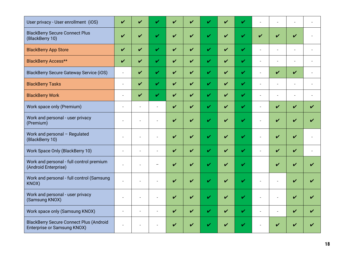| User privacy - User enrollment (iOS)                                                 | V              | V                        | ✓                        | V                          | ✓ | ✓                          | V                  | ✓           |                          |                    |                          |                          |
|--------------------------------------------------------------------------------------|----------------|--------------------------|--------------------------|----------------------------|---|----------------------------|--------------------|-------------|--------------------------|--------------------|--------------------------|--------------------------|
| <b>BlackBerry Secure Connect Plus</b><br>(BlackBerry 10)                             | V              | V                        | $\mathbf v$              | V                          | ✓ | $\mathbf v$                | $\boldsymbol{\nu}$ | $\mathbf v$ | V                        | $\boldsymbol{\nu}$ | V                        |                          |
| <b>BlackBerry App Store</b>                                                          | V              | $\boldsymbol{\nu}$       | V                        | $\boldsymbol{\mathcal{U}}$ | V | $\mathbf{v}$               | $\boldsymbol{\nu}$ | $\mathbf v$ | $\overline{a}$           | $\overline{a}$     |                          |                          |
| <b>BlackBerry Access**</b>                                                           | ✓              | V                        | V                        | $\checkmark$               | V | $\mathbf{v}$               | $\boldsymbol{\nu}$ | V           | $\blacksquare$           | $\overline{a}$     | $\overline{a}$           |                          |
| <b>BlackBerry Secure Gateway Service (iOS)</b>                                       | $\blacksquare$ | $\boldsymbol{\nu}$       | ✓                        | ✓                          | V | $\mathbf{v}$               | $\boldsymbol{\nu}$ | ✓           | $\blacksquare$           | V                  | V                        | $\overline{\phantom{a}}$ |
| <b>BlackBerry Tasks</b>                                                              | $\overline{a}$ | V                        | V                        | ✓                          | V | V                          | $\boldsymbol{\nu}$ | $\mathbf v$ | $\blacksquare$           | $\overline{a}$     | $\overline{\phantom{a}}$ |                          |
| <b>BlackBerry Work</b>                                                               |                | $\boldsymbol{\nu}$       | ✓                        | ✓                          | V | V                          | $\boldsymbol{\nu}$ | ✓           | $\overline{a}$           | $\overline{a}$     | $\overline{\phantom{a}}$ |                          |
| Work space only (Premium)                                                            |                | $\overline{a}$           | $\blacksquare$           | ✓                          | V | ✓                          | $\boldsymbol{\nu}$ | ✓           | $\overline{a}$           | ✓                  | V                        | ✔                        |
| Work and personal - user privacy<br>(Premium)                                        |                |                          |                          | V                          | ✓ | V                          | ✓                  | V           |                          | $\boldsymbol{\nu}$ | ✓                        |                          |
| Work and personal - Regulated<br>(BlackBerry 10)                                     |                |                          | $\overline{a}$           | ✓                          | ✓ | $\mathbf{v}$               | ✓                  | V           |                          | ✓                  | V                        |                          |
| Work Space Only (BlackBerry 10)                                                      | $\overline{a}$ | $\blacksquare$           | $\blacksquare$           | V                          | V | V                          | $\boldsymbol{\nu}$ | ✓           | $\blacksquare$           | ✓                  | V                        | $\blacksquare$           |
| Work and personal - full control premium<br>(Android Enterprise)                     |                |                          | $\overline{\phantom{0}}$ | ✓                          | ✓ | V                          | ✔                  | V           |                          | ✓                  | ✓                        |                          |
| Work and personal - full control (Samsung<br>KNOX)                                   |                | $\overline{\phantom{a}}$ | $\overline{\phantom{a}}$ | ✓                          | ✓ | $\boldsymbol{\mathcal{U}}$ | $\boldsymbol{\nu}$ | V           |                          |                    | ✓                        |                          |
| Work and personal - user privacy<br>(Samsung KNOX)                                   |                | $\overline{\phantom{a}}$ | $\blacksquare$           | V                          | V | V                          | V                  | V           | $\overline{\phantom{a}}$ | $\overline{a}$     | V                        | ✔                        |
| Work space only (Samsung KNOX)                                                       |                |                          |                          | V                          | V | V                          | V                  | V           |                          | ÷.                 | V                        |                          |
| <b>BlackBerry Secure Connect Plus (Android</b><br><b>Enterprise or Samsung KNOX)</b> |                |                          |                          | ✓                          |   |                            |                    |             |                          |                    |                          |                          |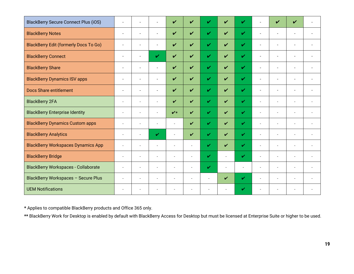| <b>BlackBerry Secure Connect Plus (iOS)</b>  |                          | $\overline{\phantom{a}}$ | $\overline{\phantom{a}}$ | $\boldsymbol{\nu}$         | ✓                        | $\boldsymbol{\mathcal{U}}$ | ✓                  | ✓                          |                          | ✔      | ✓                        |                          |
|----------------------------------------------|--------------------------|--------------------------|--------------------------|----------------------------|--------------------------|----------------------------|--------------------|----------------------------|--------------------------|--------|--------------------------|--------------------------|
| <b>BlackBerry Notes</b>                      | $\overline{\phantom{a}}$ | $\overline{\phantom{a}}$ | $\overline{\phantom{a}}$ | $\boldsymbol{\nu}$         | $\boldsymbol{\nu}$       | $\mathbf{v}$               | ✓                  | $\boldsymbol{\nu}$         | $\blacksquare$           |        | $\overline{\phantom{a}}$ |                          |
| <b>BlackBerry Edit (formerly Docs To Go)</b> | $\sim$                   | $\sim$                   | $\overline{\phantom{a}}$ | $\boldsymbol{\nu}$         | $\checkmark$             | $\mathbf{v}$               | $\boldsymbol{\nu}$ | $\boldsymbol{\nu}$         | $\overline{a}$           |        | $\overline{\phantom{a}}$ |                          |
| <b>BlackBerry Connect</b>                    | $\overline{\phantom{a}}$ |                          | $\mathbf{v}$             | $\boldsymbol{\mathcal{U}}$ | $\boldsymbol{\nu}$       | $\mathbf{v}$               | $\boldsymbol{\nu}$ | $\boldsymbol{\mathcal{U}}$ | $\overline{a}$           |        | $\overline{\phantom{a}}$ |                          |
| <b>BlackBerry Share</b>                      |                          | $\overline{a}$           | $\overline{a}$           | $\boldsymbol{\mathcal{U}}$ | $\boldsymbol{\nu}$       | $\mathbf v$                | $\boldsymbol{\nu}$ | $\mathbf{v}$               | $\overline{a}$           |        | $\overline{\phantom{a}}$ | $\overline{a}$           |
| <b>BlackBerry Dynamics ISV apps</b>          | $\overline{\phantom{a}}$ | $\overline{\phantom{a}}$ | $\blacksquare$           | $\boldsymbol{\mathcal{U}}$ | $\boldsymbol{\nu}$       | $\checkmark$               | $\boldsymbol{\nu}$ | $\mathbf{v}$               | $\overline{\phantom{a}}$ |        | $\blacksquare$           | $\overline{\phantom{a}}$ |
| <b>Docs Share entitlement</b>                |                          |                          |                          | $\boldsymbol{\nu}$         | $\checkmark$             | $\mathbf{v}$               | $\boldsymbol{\nu}$ | $\boldsymbol{\mathcal{U}}$ | $\overline{a}$           |        | $\overline{\phantom{a}}$ |                          |
| <b>BlackBerry 2FA</b>                        | $\blacksquare$           | $\blacksquare$           | $\blacksquare$           | $\boldsymbol{\nu}$         | V                        | $\mathbf{v}$               | $\boldsymbol{\nu}$ | $\mathbf{v}$               | $\sim$                   | $\sim$ | $\overline{\phantom{a}}$ | $\overline{\phantom{a}}$ |
| <b>BlackBerry Enterprise Identity</b>        | $\sim$                   | $\sim$                   | $\sim$                   | $\boldsymbol{v}$           | V                        | $\mathbf{v}$               | $\boldsymbol{\nu}$ | $\mathbf{v}$               | $\overline{\phantom{a}}$ |        | $\overline{\phantom{a}}$ | $\overline{\phantom{a}}$ |
| <b>BlackBerry Dynamics Custom apps</b>       |                          | ÷                        | $\sim$                   | $\sim$                     | V                        | $\mathbf{v}$               | $\boldsymbol{\nu}$ | $\mathbf{v}$               | ÷.                       | $\sim$ | $\overline{\phantom{a}}$ |                          |
| <b>BlackBerry Analytics</b>                  | $\sim$                   |                          | $\mathbf{v}$             | $\sim$                     | V                        | V                          | $\boldsymbol{\nu}$ | $\mathbf{v}$               | $\sim$                   | ÷.     | $\overline{a}$           | $\overline{\phantom{a}}$ |
| <b>BlackBerry Workspaces Dynamics App</b>    |                          | ÷                        | ÷.                       |                            | ÷.                       | $\mathbf{v}$               | $\boldsymbol{\nu}$ | $\mathbf{v}$               | ÷.                       |        | ÷                        |                          |
| <b>BlackBerry Bridge</b>                     | $\sim$                   | $\sim$                   | $\sim$                   | $\sim$                     | $\blacksquare$           | V                          | $\sim$             | V                          | $\sim$                   | $\sim$ | $\overline{\phantom{a}}$ | $\overline{\phantom{a}}$ |
| <b>BlackBerry Workspaces - Collaborate</b>   |                          | ÷                        | $\sim$                   | $\sim$                     | $\overline{\phantom{a}}$ | $\mathbf{v}$               |                    | ÷                          | ÷.                       |        | ÷.                       | ÷                        |
| BlackBerry Workspaces - Secure Plus          | $\sim$                   | $\overline{\phantom{a}}$ | $\overline{a}$           |                            | ä,                       | ÷.                         | $\boldsymbol{\nu}$ | V                          | $\sim$                   |        | $\overline{a}$           |                          |
| <b>UEM Notifications</b>                     | $\sim$                   | $\overline{\phantom{a}}$ | $\sim$                   |                            | $\sim$                   | $\blacksquare$             |                    | ✓                          |                          |        | $\overline{\phantom{a}}$ | $\overline{\phantom{a}}$ |

**\*** Applies to compatible BlackBerry products and Office 365 only.

**\*\*** BlackBerry Work for Desktop is enabled by default with BlackBerry Access for Desktop but must be licensed at Enterprise Suite or higher to be used.